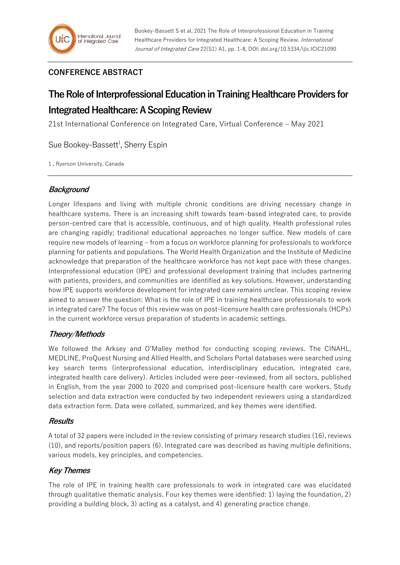# **CONFERENCE ABSTRACT**

# **The Role of Interprofessional Education in Training Healthcare Providers for Integrated Healthcare: A Scoping Review**

21st International Conference on Integrated Care, Virtual Conference – May 2021

Sue Bookey-Bassett<sup>1</sup>, Sherry Espin

1 , Ryerson University, Canada

## **Background**

Longer lifespans and living with multiple chronic conditions are driving necessary change in healthcare systems. There is an increasing shift towards team-based integrated care, to provide person-centred care that is accessible, continuous, and of high quality. Health professional roles are changing rapidly; traditional educational approaches no longer suffice. New models of care require new models of learning – from a focus on workforce planning for professionals to workforce planning for patients and populations. The World Health Organization and the Institute of Medicine acknowledge that preparation of the healthcare workforce has not kept pace with these changes. Interprofessional education (IPE) and professional development training that includes partnering with patients, providers, and communities are identified as key solutions. However, understanding how IPE supports workforce development for integrated care remains unclear. This scoping review aimed to answer the question: What is the role of IPE in training healthcare professionals to work in integrated care? The focus of this review was on post-licensure health care professionals (HCPs) in the current workforce versus preparation of students in academic settings.

## **Theory/Methods**

We followed the Arksey and O'Malley method for conducting scoping reviews. The CINAHL, MEDLINE, ProQuest Nursing and Allied Health, and Scholars Portal databases were searched using key search terms (interprofessional education, interdisciplinary education, integrated care, integrated health care delivery). Articles included were peer-reviewed, from all sectors, published in English, from the year 2000 to 2020 and comprised post-licensure health care workers. Study selection and data extraction were conducted by two independent reviewers using a standardized data extraction form. Data were collated, summarized, and key themes were identified.

### **Results**

A total of 32 papers were included in the review consisting of primary research studies (16), reviews (10), and reports/position papers (6). Integrated care was described as having multiple definitions, various models, key principles, and competencies.

## **Key Themes**

The role of IPE in training health care professionals to work in integrated care was elucidated through qualitative thematic analysis. Four key themes were identified: 1) laying the foundation, 2) providing a building block, 3) acting as a catalyst, and 4) generating practice change.